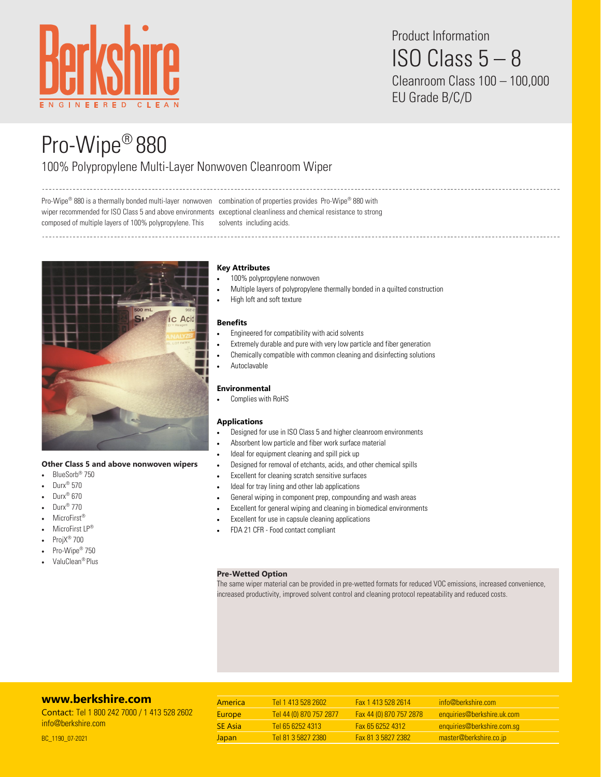

Product Information ISO Class 5 – 8 Cleanroom Class 100 – 100,000

EU Grade B/C/D

# Pro-Wipe® 880

# 100% Polypropylene Multi-Layer Nonwoven Cleanroom Wiper

Pro-Wipe® 880 is a thermally bonded multi-layer nonwoven combination of properties provides Pro-Wipe® 880 with wiper recommended for ISO Class 5 and above environments exceptional cleanliness and chemical resistance to strong composed of multiple layers of 100% polypropylene. This solvents including acids.



## **Other Class 5 and above nonwoven wipers**

- BlueSorb® 750
- Durx<sup>®</sup> 570
- Durx® 670
- Durx® 770
- MicroFirst®
- MicroFirst LP®
- ProjX® 700
- Pro-Wipe<sup>®</sup> 750
- ValuClean® Plus

## **Key Attributes**

- 100% polypropylene nonwoven
- Multiple layers of polypropylene thermally bonded in a quilted construction

• High loft and soft texture

#### **Benefits**

- Engineered for compatibility with acid solvents
- Extremely durable and pure with very low particle and fiber generation
- Chemically compatible with common cleaning and disinfecting solutions
- Autoclavable

### **Environmental**

• Complies with RoHS

#### **Applications**

- Designed for use in ISO Class 5 and higher cleanroom environments
- Absorbent low particle and fiber work surface material
- Ideal for equipment cleaning and spill pick up
- Designed for removal of etchants, acids, and other chemical spills
- Excellent for cleaning scratch sensitive surfaces
- Ideal for tray lining and other lab applications
- General wiping in component prep, compounding and wash areas
- Excellent for general wiping and cleaning in biomedical environments
- Excellent for use in capsule cleaning applications
- FDA 21 CFR Food contact compliant

#### **Pre-Wetted Option**

The same wiper material can be provided in pre-wetted formats for reduced VOC emissions, increased convenience, increased productivity, improved solvent control and cleaning protocol repeatability and reduced costs.

# **[www.berkshire.com](http://www.berkshire.com)**

Contact: Tel 1 800 242 7000 / 1 413 528 2602 [info@berkshire.com](mailto:info@berkshire.com)

| America        | Tel 1 413 528 2602      | Fax 1 413 528 2614      | info@berkshire.com         |
|----------------|-------------------------|-------------------------|----------------------------|
| <b>Europe</b>  | Tel 44 (0) 870 757 2877 | Fax 44 (0) 870 757 2878 | enquiries@berkshire.uk.com |
| <b>SE</b> Asia | Tel 65 6252 4313        | <b>Fax 65 6252 4312</b> | enquiries@berkshire.com.sq |
| Japan          | Tel 81 3 5827 2380      | Fax 81 3 5827 2382      | master@berkshire.co.jp     |